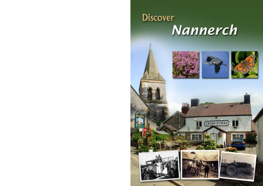# **Discover** Nannerch





CROSS+FOXES

Hill

Đ



83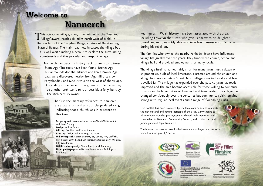# **Welcome to**

# **Nannerch**

This attractive village, many time winner of the 'Best Kept' Village' award, nestles six miles north-west of Mold, in the foothills of the Clwydian Range, an Area of Outstanding Natural Beauty. The main road now bypasses the village but it is well worth making a detour to explore the surrounding countryside and this peaceful and unspoilt village.

Nannerch can trace its history back to prehistoric times. Stone Age flint tools have been found, Bronze Age burial mounds dot the hillsides and three Bronze Age axes were discovered nearby. Iron Age hillforts crown Penycloddiau and Moel Arthur to the west of the village. A standing stone circle in the grounds of Penbedw may be another prehistoric relic or possibly a folly, built by the 18th century owner.

> The first documentary references to Nannerch are a tax return and a list of clergy, dated 1254, indicating that a church was in existence at this time.

**Scripting and research:** Lorna Jenner, Wendi Williams-Shiel and Hazel Formby **Design:** William Smuts **Editing:** Dee Rivaz and Sarah Brennen **Printing:** Design and Print 01352 704000 **Old photographs:** Brian Bennett, Ray Davies, Tony Griffiths, Cliff Halsall, Betty Kent, Elvet Pierce, Pat Wilkes, Beryl Williams, Billy Woodhouse **Wildlife photography:** Simon Booth, Mick Brummage

**Other photographs:** Jo Danson, Lorna Jenner, Carl Rogers, Ray Bibby

Key figures in Welsh history have been associated with the area, including Llywelyn the Great, who gave Penbedw to his daughter Gwenllian, and Owain Glyndŵr who took brief possession of Penbedw during his rebellion.

The families who owned the nearby Penbedw Estate have influenced village life greatly over the years. They funded the church, school and village hall and provided employment for many locals.

The village itself remained fairly small for many years. Just a dozen or so properties, built of local limestone, clustered around the church and along the tree-lined Main Street. Most villagers worked locally and few travelled far. The village has expanded over the past 50 years, as roads improved and the area became accessible for those willing to commute to work in the larger cities of Liverpool and Manchester. The village has changed considerably over the centuries but community spirit remains strong with regular local events and a range of flourishing clubs.

This booklet has been produced by the local community to celebrate the rich cultural and natural heritage of the area. Many thanks to all who have provided photographs or shared their memories and knowledge, to Nannerch Community Council, and to the staff and junior pupils of Ysgol Nannerch.

The booklet can also be downloaded from www.cadwynclwyd.co.uk or www.flintshire.gov.uk/tourism







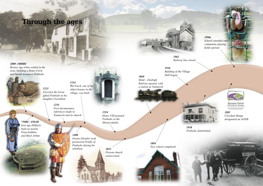# **Through the ages**

*1233*

*2000 -1000BC Bronze Age tribes settled in the area, building a Stone Circle and burial mound at Penbedw.*



*750BC- 450AD Iron Age Hillforts built on nearby Penycloddiau and Moel Arthur.*

*Llywelyn the Great gifted Penbedw to his daughter Gwenllian. 1534 Wal Goch, one of the oldest houses in the village, was built.*

> *1254 First documentary references made to Nannerch and its church.*

> > *1400 Owain Glyndwr took ˆpossession briefly of Penbedw during his rebellion.*

*1554* 

*1853* 

*Present church consecrated.*

*Henry VIII granted Penbedw to the Mostyn family.*



*1962 Railway line closed.*

*1936 Building of the Village Hall began.*

*Mold – Denbigh Railway opened, with a station at Nannerch.* 

 $-1.5 - 1.1 - 1.$ 

*1869*





Bryniau Clwyd<br>Clwydian Range

*1985 Clwydian Range designated an AONB.*

*1958 Penbedw demolished.*

*1894 New school completed.* 



*1990s*

*School extended and community playing fields opened.*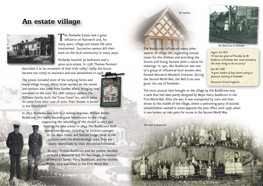### **An estate village**



The Penbedw Estate had a great  $\perp$  influence on Nannerch and, for many years, village and estate life were intertwined. Successive owners left their mark on the local community in many ways.

Penbedw boasted 30 bedrooms and a 4000 acre estate. In 1778, Thomas Pennant

described it as 'an ornament of that little valley'. Sadly, the house became too costly to maintain and was demolished in 1958.

The estate included most of the outlying farms and many village houses. Many locals worked on the estate and workers also came from further afield, bringing new surnames to the area. The 18th century owners, the Williams family, built the 'Cross Foxes' inn, which takes its name from their coat of arms. Their brewer is buried in the churchyard.



In 1852, Penbedw was sold to a railway engineer, William Barber Buddicom. His family became great benefactors to the village, supporting the rebuilding of the church in 1853 and funding the new school in 1894. The Buddicoms built several new houses, including Tai Cochion cottages on the Main Street and Station Lodge, close to the junction with the Mold-Denbigh road. They are clearly identifiable by their distinctive brickwork.

> In 1935, Venetia Buddicom and her mother decided to build a Memorial Hall for the village, in memory of Venetia's father, Harry Buddicom, and her brother Walter, who was killed in the First World War.



*The Red Cross at Penbedw*

*August 3rd 1876 "A treat was given on Thursday by Mr Buddicom of Penbedw Hall. Good attendance this week owing to the tea party."*

*Nov 8th 1897 "A great number of boys absent owing to pheasant shooting at Penbedw."*

Nannerch School logbook

The most unusual item brought to the village by the Buddicoms was a tank that had been partly designed by Major Harry Buddicom in the First World War. After the war, it was transported by train and then driven to the middle of the village, where a welcoming party of excited schoolchildren waited! It stood opposite the post office until 1938, when it was broken up into parts for re-use in the Second World War.

*The tank at Nannerch*

The Buddicoms influenced many other aspects of village life, organizing annual treats for the children and providing the Scouts and Young Farmers with a venue for meetings. In 1921, Mrs Buddicom was one of a group of influential local women who formed Nannerch Women's Institute. During the Second World War, the Red Cross was

*Tai Cochion*

given the use of Penbedw.

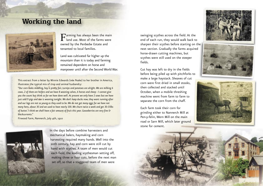## **Working the land**



 $\mathbf{F}$ arming has always been the main land use. Most of the farms were owned by the Penbedw Estate and tenanted to local families.

Land was cultivated far higher up the mountain than it is today and farming remained dependent on horse and manpower until after the Second World War.

This extract from a letter by Minnie Edwards (née Peake) to her brother in America, illustrates the typical mix of crop and animal husbandry:

*"Our corn looks middling, hay is pretty fair, turnips and potatoes are alright. We are milking 6 cows, 2 of them are heifers and we have 8 weaning calves, 6 horses and sheep - I cannot give you the count but think so far we have done well. At present we only have 2 sows but we have just sold 9 pigs and one is weaning tonight. We don't keep ducks now, they want running after and our legs are not so young as they used to be. We do not get many eggs for we have not many hens, about 30 and we used to have nearly 100. We churn twice a week and get 30-35lbs of butter. I think we shall have a fair amount of fruit this year. Gooseberries are very fine & blackcurrants."*

Firwood Farm, Nannerch, July 4th, 1910



In the days before combine harvesters and mechanical balers, haymaking and corn harvesting required many hands. Well into the 20th century, hay and corn were still cut by hand with scythes. A team of men would cut each field, the leading scythesman setting off, making three or four cuts, before the next man set off, so that a staggered team of men were

swinging scythes across the field. At the end of each run, they would walk back to sharpen their scythes before starting on the next section. Gradually the farms acquired horse-drawn cutting machines, but scythes were still used on the steeper fields.

Cut hay was left to dry in the fields before being piled up with pitchforks to make a large haystack. Sheaves of cut corn were first dried in small stooks, then collected and stacked until October, when a mobile threshing machine went from farm to farm to separate the corn from the chaff.

Each farm took their corn for grinding either to Nannerch Mill at Pen-y-felin, Wern Mill on the main road or Sarn Mill, which later ground stone for cement.





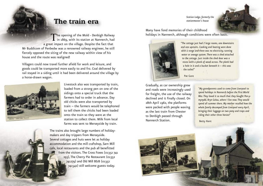#### *Station Lodge, formerly the stationmaster's house*



### **The train era**

The opening of the Mold - Denbigh Railway  $\perp$  in 1869, with its station at Nannerch, had a great impact on the village. Despite the fact that Mr Buddicom of Penbedw was a renowned railway engineer, he still fiercely opposed the siting of the new railway within view of his house and the route was realigned!

Villagers could now travel further afield for work and leisure, and goods could be transported more easily to and fro. Coal delivered by rail stayed in a siding until it had been delivered around the village by a horse-drawn wagon.



Livestock also was transported by train, loaded from a strong pen on one of the sidings onto a special truck that the farmers had to order in advance. Day old chicks were also transported by train – the farmers would be telephoned to tell them the chicks had been loaded onto the train so they were at the station to collect them. Milk from local farms was sent to Merseyside by train.

The trains also brought large numbers of holidaymakers and day trippers from Merseyside. Several cottages and huts were let as holiday accommodation and the mill craftshop, Sarn Mill cafe, local restaurants and the pub all benefitted from the visitors. The Cross Foxes (01352 741 293), The Cherry Pie Restaurant (01352 741279) and Old Mill B&B (01352 741542) still welcome guests today.

Many have fond memories of their childhood holidays in Nannerch, although conditions were often basic.



 *"The cottage just had 2 large rooms, one downstairs and one upstairs. Cooking and heating were done with a range and there was no electricity, running water or sewage system. There was a shed attached to the cottage. Just inside the shed door was a recess with a plank of wood across. The plank had a hole in it and a bucket beneath it – this was the toilet!"* 

Pat Gore

Gradually, as car ownership grew and roads were increasingly used for freight, the use of the railway declined and it finally closed. On 28th April 1962, the platforms were packed with people waving as the last train from Chester to Denbigh passed through Nannerch Station.

*"My grandparents used to come from Liverpool to spend holidays in Nannerch before the First World War. They loved it so much that they bought Pen-ymynydd, Bryn Golau, where I live now. They would spend all summer there. My mother recalled how the whole family decamped from Liverpool every April, bringing their luggage on two pony and traps and riding their other three horses!"*

Betty Kent

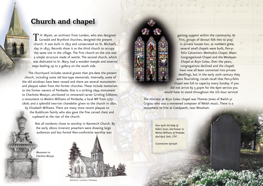### **Church and chapel**

T.H. Wyatt, an architect from London, who also designed  $\perp$  Gorsedd and Brynford churches, designed the present church. It was built in 1852 and consecrated on St. Michael's day in 1853. Records show it as the third church to occupy the same site in the village. The first church on the site was a simple structure made of wattle. The second church, which was dedicated to St. Mary, had a wooden steeple and external steps leading up to a gallery on the south side.

The churchyard includes several graves that pre-date the present church, including some old box-type memorials. Internally, some of the old windows have been reused and there are several monuments and plaques taken from the former churches. These include memorials to the former owners of Penbedw. One is a striking 1694 monument to Charlotte Mostyn, attributed to renowned carver Grinling Gibbons; a monument to Watkin Williams of Penbedw, a local MP from 1777- 1806; and a splendid two-tier chandelier given to the church in 1820,

by Elizabeth Williams. There are many more recent plaques to the Buddicom family who also gave the fine carved chest and cupboard at the rear of the church.

> Not all residents chose to worship in Nannerch Church. By the early 1800s itinerant preachers were drawing large audiences and less formal Non-conformist worship was

*Monument to Charlotte Mostyn*





The minister at Bryn Golau chapel was Thomas Jones of Bwlch yr Crigiau who was a renowned composer of Welsh music. There is a monument to him at Coedpoeth, near Wrexham.

> *Here lyeth the body of Robert Jones, late brewer to Watkin Williams of Penbedw, died April 16th, 1797.*

Gravestone epitaph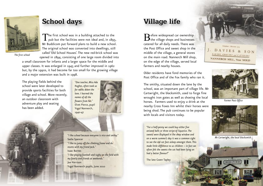

## **School days**

The first school was in a building attached to the pub but the facilities were not ideal and, in 1893, Mr Buddicom put forward plans to build a new school. The original school was converted into dwellings, still called 'Old School Houses'. The new red-brick school was opened in 1894, consisting of one large room divided into

*The first school*

a small classroom for infants and a larger space for the middle and upper classes. It was enlarged in 1945 and further improved in 1962 but, by the 1990s, it had become far too small for the growing village and a major extension was built in 1998.

The playing fields behind the school were later developed to provide sports facilities for both village and school. More recently, an outdoor classroom with adventure play and seating has been added.

*"One teacher, Miss Ada Hughes, often took us for walks down the lane. I learned the names of all the flowers from her."* Elvet Pierce, pupil Ysgol Nannerch, 1940-47

*"I like school because everyone is nice and smiley."* Sadie Spencer *"I like to jump off the climbing frame and do stunts with my friend Jack."* Isaac Barnes *"I like playing football and rugby on the field with my family and friends at weekends."* Joe Harrison Ysgol Nannerch pupils, June 2010

# **Village life**

 $\mathbf{B}$  efore widespread car ownership the village shops and businesses catered for all daily needs. There was the Post Office and sweet shop in the middle of the village, a general stores on the main road. Nannerch Mill shop, on the edge of the village, served local farmers and nearby houses.

Older residents have fond memories of the Post Office and of the Fox family who ran it.

The smithy, situated down the lane by the school, was an important part of village life. Mr Cartwright, the blacksmith, used to forge fine wrought iron gates as well as shoeing the local horses. Farmers used to enjoy a drink at the nearby Cross Foxes Inn whilst their horses were being shod. The pub continues to be popular with locals and visitors today.

*"For a half-penny we could buy either five aniseed balls or three strips of liquorice. The sweets were displayed in the shop window and on a warm summer's day it was a common sight to see the old cat fast asleep amongst them. This made little difference to us children – in fact we often felt the sweets the cat had been lying on had a better flavour!"*

The late Gwen Tapley

Triplee: Heines 111 J. DAVIES & SON **BAKERS, GROCERS AN CATER DRS** NANNERCH MILL, Near MOLD



*Former Post Office*



*Mr Cartwright, the local blacksmith*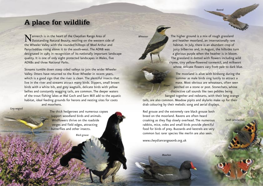Peacock

*Small tortoiseshell*

### **A place for wildlife**

**N** Tannerch is in the heart of the Clwydian Range Area of  $\Gamma$  Outstanding Natural Beauty, nestling on the western side of the Wheeler Valley with the rounded hilltops of Moel Arthur and Penycloddiau rising above it to the south-west. The AONB was designated in 1985 in recognition of its nationally important landscape quality. It is one of only eight protected landscapes in Wales, five AONBs and three National Parks.

Streams tumble down steep sided valleys to join the wider Wheeler Valley. Otters have returned to the River Wheeler in recent years, which is a good sign that the river is clean. The plentiful insects that live in the river and streams attract many birds. Dippers, small brown birds with a white bib, and grey wagtails, delicate birds with yellow bellies and constantly wagging tails, are common. The deeper waters of the trout fishing lakes at Wal Goch and Sarn Mill add to the aquatic habitat, ideal feeding grounds for herons and nesting sites for coots and moorhens.

*Grey wagtail*

The thick hedgerows and numerous copses support woodland birds and animals. Wildflowers thrive on the roadside verges and field edges, attracting butterflies and other insects.

*Black grouse*

The higher ground is a mix of rough grassland and heather moorland, an internationally rare habitat. In July, there is an abundant crop of juicy bilberries and, in August, the hillsides turn a glorious purple when the heather is in bloom. The grassland is dotted with flowers including wild thyme, tiny yellow-flowered tormentil, and milkwort whose delicate flowers vary from pale to dark blue.

The moorland is alive with birdsong during the summer as male birds sing lustily to attract a mate. Most obvious are wheatears, often seen perched on a stone or post. Stonechats, whose distinctive call sounds like two pebbles being banged together and redstarts, with their long orange tails, are also common. Meadow pipits and skylarks make up for their drab colouring by their melodic song and aerial displays. *Dipper*

Red grouse and the extremely rare black grouse both breed on the moorland. Ravens are often heard croaking as they flap slowly overhead. The numerous rabbits, mice, voles and small birds provide plentiful food for birds of prey. Buzzards and kestrels are very common but rarer species like merlin are also seen.

www.clwydianrangeaonb.org.uk

*Wheatear*

*Moorhen*